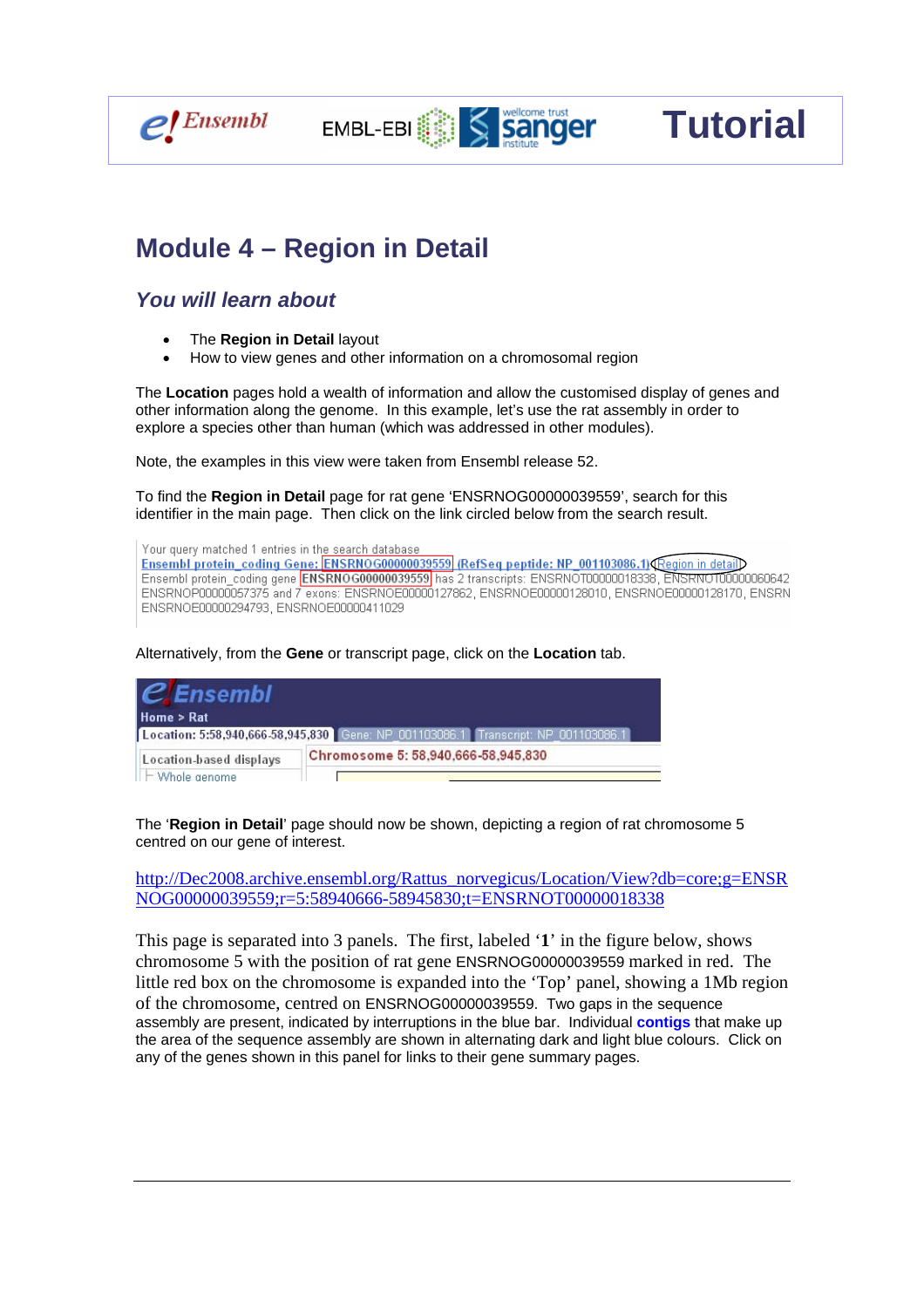

Ξ

# **Module 4 – Region in Detail**

#### *You will learn about*

- The **Region in Detail** layout
- How to view genes and other information on a chromosomal region

The **Location** pages hold a wealth of information and allow the customised display of genes and other information along the genome. In this example, let's use the rat assembly in order to explore a species other than human (which was addressed in other modules).

EMBL-EBI Sanger

**Tutorial** 

Note, the examples in this view were taken from Ensembl release 52.

To find the **Region in Detail** page for rat gene 'ENSRNOG00000039559', search for this identifier in the main page. Then click on the link circled below from the search result.

Your query matched 1 entries in the search database Ensembl protein coding Gene: ENSRNOG00000039559 (RefSeq peptide: NP 001103086.1) Region in detail Ensembl protein\_coding gene **ENSRNOG00000039559** has 2 transcripts: ENSRNOT00000018338, ENSRNOT00000060642 ENSRNOP00000057375 and 7 exons: ENSRNOE00000127862, ENSRNOE00000128010, ENSRNOE00000128170, ENSRN ENSRNOE00000294793, ENSRNOE00000411029

Alternatively, from the **Gene** or transcript page, click on the **Location** tab.

| $\mathcal C$ Ensembl<br>Home > Rat |                                                                                     |  |  |  |  |  |
|------------------------------------|-------------------------------------------------------------------------------------|--|--|--|--|--|
|                                    | [Location: 5:58,940,666-58,945,830] Gene: NP_001103086.1 Transcript: NP_001103086.1 |  |  |  |  |  |
| Location-based displays            | Chromosome 5: 58,940,666-58,945,830                                                 |  |  |  |  |  |
| ll – Whole genome                  |                                                                                     |  |  |  |  |  |

The '**Region in Detail**' page should now be shown, depicting a region of rat chromosome 5 centred on our gene of interest.

http://Dec2008.archive.ensembl.org/Rattus\_norvegicus/Location/View?db=core;g=ENSR NOG00000039559;r=5:58940666-58945830;t=ENSRNOT00000018338

This page is separated into 3 panels. The first, labeled '**1**' in the figure below, shows chromosome 5 with the position of rat gene ENSRNOG00000039559 marked in red. The little red box on the chromosome is expanded into the 'Top' panel, showing a 1Mb region of the chromosome, centred on ENSRNOG00000039559. Two gaps in the sequence assembly are present, indicated by interruptions in the blue bar. Individual **contigs** that make up the area of the sequence assembly are shown in alternating dark and light blue colours. Click on any of the genes shown in this panel for links to their gene summary pages.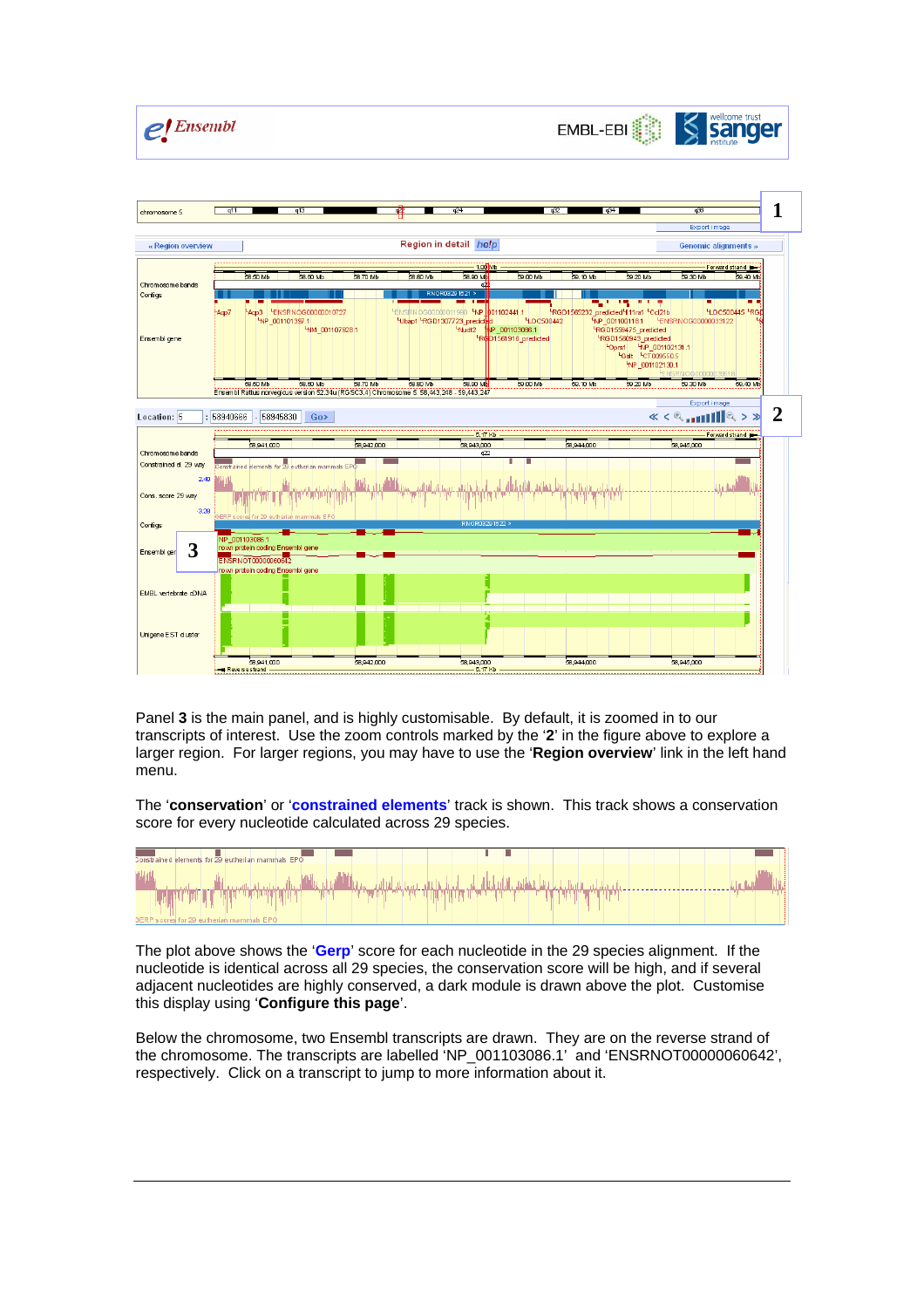



Panel **3** is the main panel, and is highly customisable. By default, it is zoomed in to our transcripts of interest. Use the zoom controls marked by the '**2**' in the figure above to explore a larger region. For larger regions, you may have to use the '**Region overview**' link in the left hand menu.

The '**conservation**' or '**constrained elements**' track is shown. This track shows a conservation score for every nucleotide calculated across 29 species.



The plot above shows the '**Gerp**' score for each nucleotide in the 29 species alignment. If the nucleotide is identical across all 29 species, the conservation score will be high, and if several adjacent nucleotides are highly conserved, a dark module is drawn above the plot. Customise this display using '**Configure this page**'.

Below the chromosome, two Ensembl transcripts are drawn. They are on the reverse strand of the chromosome. The transcripts are labelled 'NP\_001103086.1' and 'ENSRNOT00000060642', respectively. Click on a transcript to jump to more information about it.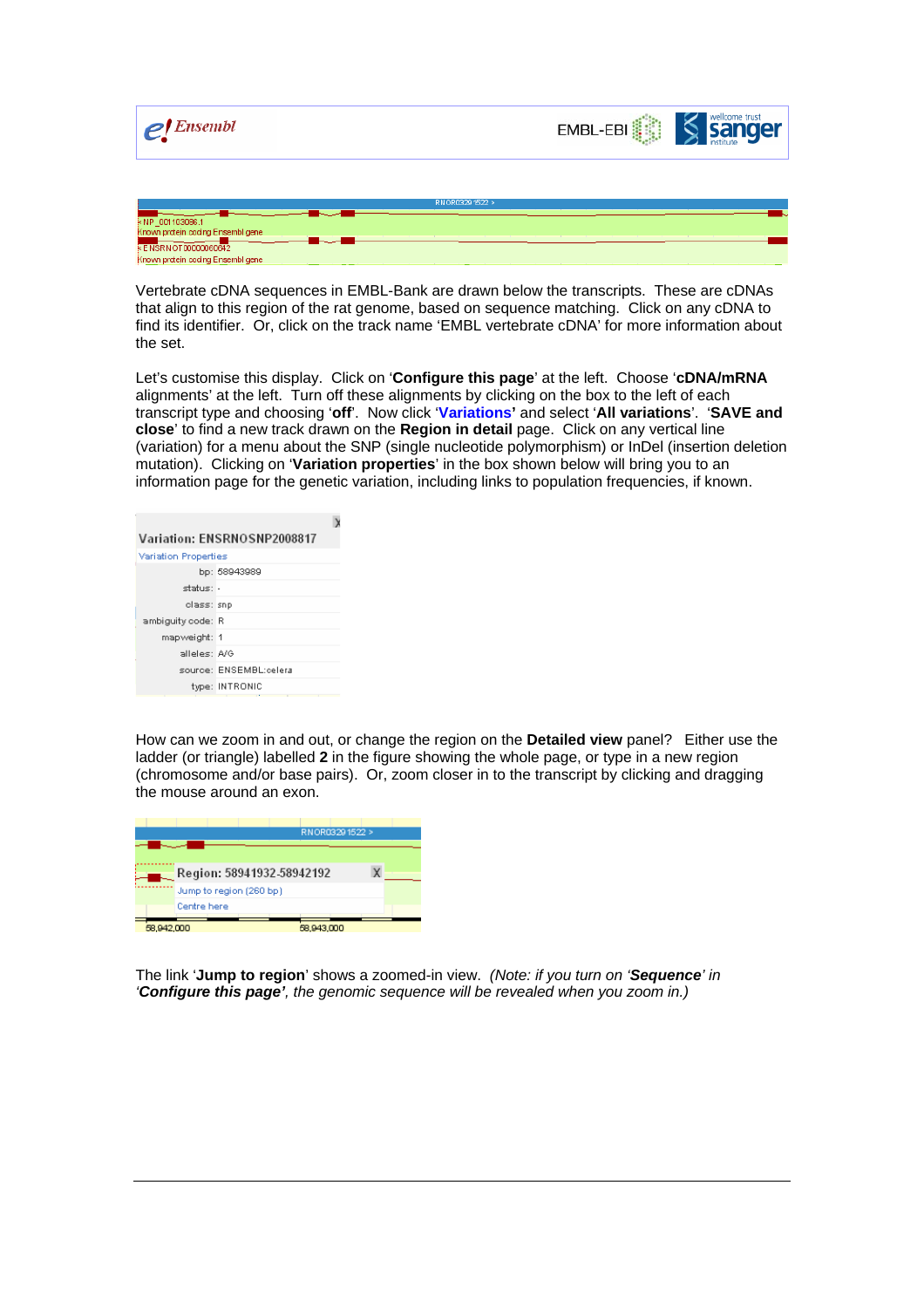

Vertebrate cDNA sequences in EMBL-Bank are drawn below the transcripts. These are cDNAs that align to this region of the rat genome, based on sequence matching. Click on any cDNA to find its identifier. Or, click on the track name 'EMBL vertebrate cDNA' for more information about the set.

Let's customise this display. Click on '**Configure this page**' at the left. Choose '**cDNA/mRNA**  alignments' at the left. Turn off these alignments by clicking on the box to the left of each transcript type and choosing '**off**'. Now click '**Variations'** and select '**All variations**'. '**SAVE and close**' to find a new track drawn on the **Region in detail** page. Click on any vertical line (variation) for a menu about the SNP (single nucleotide polymorphism) or InDel (insertion deletion mutation). Clicking on '**Variation properties**' in the box shown below will bring you to an information page for the genetic variation, including links to population frequencies, if known.

| Variation: ENSRNOSNP2008817 |  |  |  |  |
|-----------------------------|--|--|--|--|
| Variation Properties        |  |  |  |  |
| bp: 58943989                |  |  |  |  |
| status: -                   |  |  |  |  |
| class: snp                  |  |  |  |  |
| ambiguity code: R           |  |  |  |  |
| mapweight: 1                |  |  |  |  |
| alleles: A/G                |  |  |  |  |
| source: ENSEMBL:celera      |  |  |  |  |
| type: INTRONIC              |  |  |  |  |
|                             |  |  |  |  |

How can we zoom in and out, or change the region on the **Detailed view** panel? Either use the ladder (or triangle) labelled **2** in the figure showing the whole page, or type in a new region (chromosome and/or base pairs). Or, zoom closer in to the transcript by clicking and dragging the mouse around an exon.



The link '**Jump to region**' shows a zoomed-in view. *(Note: if you turn on 'Sequence' in 'Configure this page', the genomic sequence will be revealed when you zoom in.)*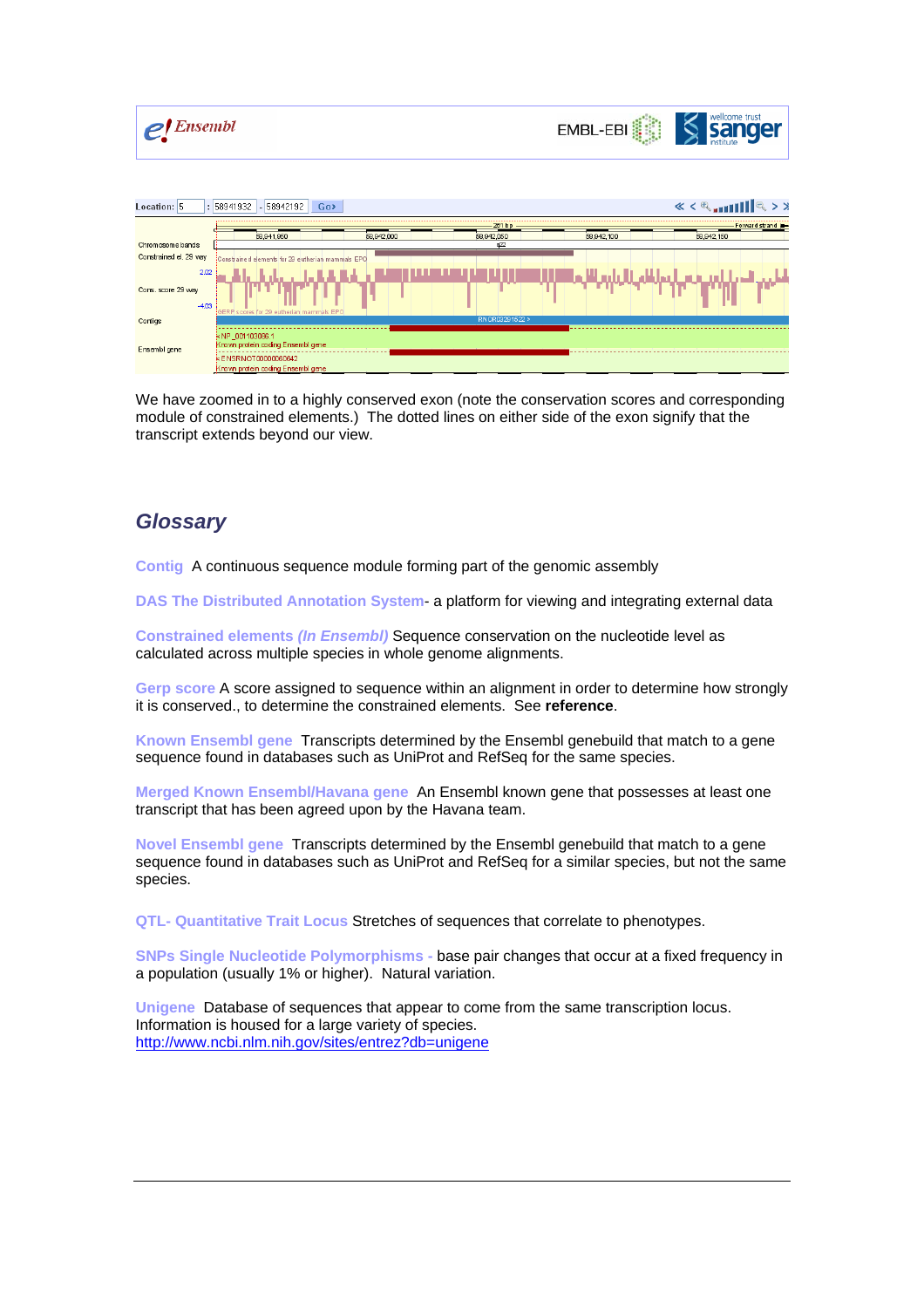



| $\alpha < \alpha$ in $\ \ \alpha  > \alpha$<br>: 58941932<br>Location: 5<br>58942192<br>Go> |                                                                                                                |                          |     |            |            |  |  |  |
|---------------------------------------------------------------------------------------------|----------------------------------------------------------------------------------------------------------------|--------------------------|-----|------------|------------|--|--|--|
|                                                                                             | 261bp<br>Forward strand                                                                                        |                          |     |            |            |  |  |  |
|                                                                                             | 58,941,950                                                                                                     | 58,942,050<br>58,942,000 |     | 58,942,100 | 58,942,150 |  |  |  |
| Chromosome bands                                                                            |                                                                                                                |                          | 422 |            |            |  |  |  |
| Constrained el. 29 way                                                                      | Constrained elements for 29 eutherian mammals EPO                                                              |                          |     |            |            |  |  |  |
| 2.02<br>Cons. score 29 way<br>$-4.03$                                                       | GERP scores for 29 eutherian mammals EPO                                                                       |                          |     |            |            |  |  |  |
| Cortigs                                                                                     | RNOR03291522 >                                                                                                 |                          |     |            |            |  |  |  |
| Ensembl gene                                                                                | NP 001103086.1<br>Known protein coding Ensembligene<br>ENSRNOT00000060642<br>Known protein coding Ensembligene |                          |     |            |            |  |  |  |

We have zoomed in to a highly conserved exon (note the conservation scores and corresponding module of constrained elements.) The dotted lines on either side of the exon signify that the transcript extends beyond our view.

### *Glossary*

**Contig** A continuous sequence module forming part of the genomic assembly

**DAS The Distributed Annotation System**- a platform for viewing and integrating external data

**Constrained elements** *(In Ensembl)* Sequence conservation on the nucleotide level as calculated across multiple species in whole genome alignments.

**Gerp score** A score assigned to sequence within an alignment in order to determine how strongly it is conserved., to determine the constrained elements. See **reference**.

**Known Ensembl gene** Transcripts determined by the Ensembl genebuild that match to a gene sequence found in databases such as UniProt and RefSeq for the same species.

**Merged Known Ensembl/Havana gene** An Ensembl known gene that possesses at least one transcript that has been agreed upon by the Havana team.

**Novel Ensembl gene** Transcripts determined by the Ensembl genebuild that match to a gene sequence found in databases such as UniProt and RefSeq for a similar species, but not the same species.

**QTL- Quantitative Trait Locus** Stretches of sequences that correlate to phenotypes.

**SNPs Single Nucleotide Polymorphisms -** base pair changes that occur at a fixed frequency in a population (usually 1% or higher). Natural variation.

**Unigene** Database of sequences that appear to come from the same transcription locus. Information is housed for a large variety of species. http://www.ncbi.nlm.nih.gov/sites/entrez?db=unigene